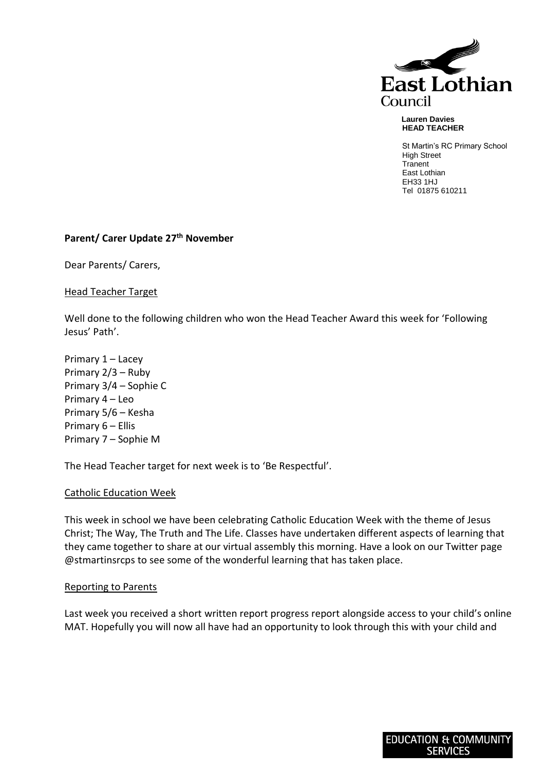

 **Lauren Davies HEAD TEACHER**

St Martin's RC Primary School High Street **Tranent** East Lothian EH33 1HJ Tel 01875 610211

# **Parent/ Carer Update 27 th November**

Dear Parents/ Carers,

Head Teacher Target

Well done to the following children who won the Head Teacher Award this week for 'Following Jesus' Path'.

Primary 1 – Lacey Primary 2/3 – Ruby Primary 3/4 – Sophie C Primary 4 – Leo Primary 5/6 – Kesha Primary 6 – Ellis Primary 7 – Sophie M

The Head Teacher target for next week is to 'Be Respectful'.

### Catholic Education Week

This week in school we have been celebrating Catholic Education Week with the theme of Jesus Christ; The Way, The Truth and The Life. Classes have undertaken different aspects of learning that they came together to share at our virtual assembly this morning. Have a look on our Twitter page @stmartinsrcps to see some of the wonderful learning that has taken place.

### Reporting to Parents

Last week you received a short written report progress report alongside access to your child's online MAT. Hopefully you will now all have had an opportunity to look through this with your child and